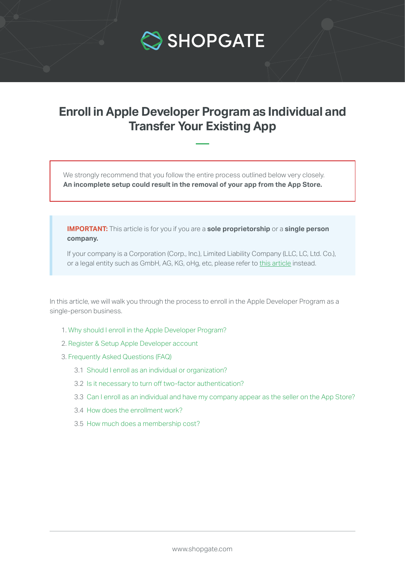

# **Enroll in Apple Developer Program as Individual and Transfer Your Existing App**

We strongly recommend that you follow the entire process outlined below very closely. **An incomplete setup could result in the removal of your app from the App Store.**

**IMPORTANT:** This article is for you if you are a **sole proprietorship** or a **single person company.**

 If your company is a Corporation (Corp., Inc.), Limited Liability Company (LLC, LC, Ltd. Co.), or a legal entity such as GmbH, AG, KG, oHg, etc, please refer to [this article](https://support.shopgate.com/hc/en-us/articles/115006801687) instead.

In this article, we will walk you through the process to enroll in the Apple Developer Program as a single-person business.

- [1. Why should I enroll in the Apple Developer Program?](#page-1-0)
- [2. Register & Setup Apple Developer account](#page-1-0)
- [3. Frequently Asked Questions \(FAQ\)](#page-5-0)
	- [3.1 Should I enroll as an individual or organization?](#page-5-0)
	- 3.2 [Is it necessary to turn off two-factor authentication?](#page-5-0)
	- [3.3 Can I enroll as an individual and have my company appear as the seller on the App Store?](#page-5-0)
	- [3.4 How does the enrollment work?](#page-6-0)
	- [3.5 How much does a membership cost?](#page-6-0)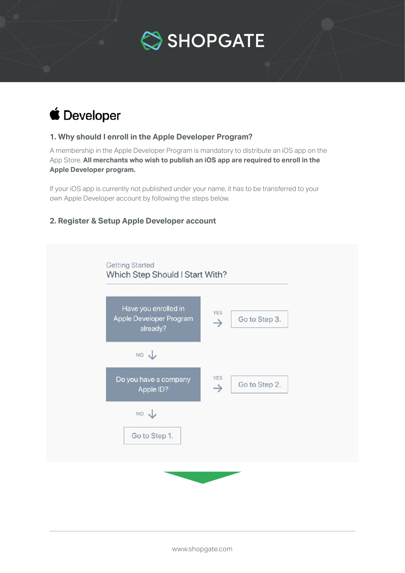

<span id="page-1-0"></span>

## **1. Why should I enroll in the Apple Developer Program?**

A membership in the Apple Developer Program is mandatory to distribute an iOS app on the App Store. **All merchants who wish to publish an iOS app are required to enroll in the Apple Developer program.**

If your iOS app is currently not published under your name, it has to be transferred to your own Apple Developer account by following the steps below.

## **2. Register & Setup Apple Developer account**

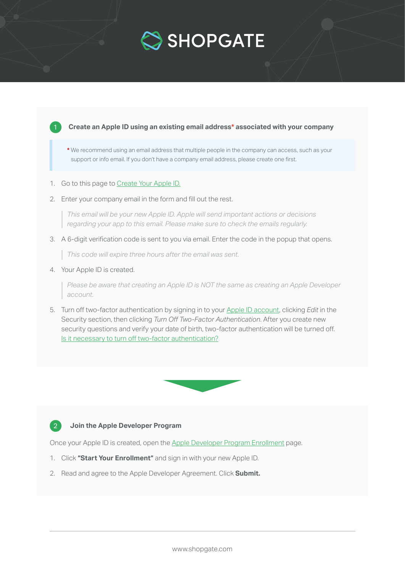



2. Enter your company email in the form and fill out the rest.

 *This email will be your new Apple ID. Apple will send important actions or decisions regarding your app to this email. Please make sure to check the emails regularly.*

3. A 6-digit verification code is sent to you via email. Enter the code in the popup that opens.

*This code will expire three hours after the email was sent.*

4. Your Apple ID is created.

 *Please be aware that creating an Apple ID is NOT the same as creating an Apple Developer account.*

5. Turn off two-factor authentication by signing in to your [Apple ID account,](https://appleid.apple.com/#!&page=signin) clicking *Edit* in the Security section, then clicking *Turn Off Two-Factor Authentication*. After you create new security questions and verify your date of birth, two-factor authentication will be turned off. [Is it necessary to turn off two-factor authentication?](#page-5-0)



## **Join the Apple Developer Program**

 $\mathbf{2}$ 

Once your Apple ID is created, open the [Apple Developer Program Enrollment](https://developer.apple.com/programs/enroll/) page.

- 1. Click **"Start Your Enrollment"** and sign in with your new Apple ID.
- 2. Read and agree to the Apple Developer Agreement. Click **Submit.**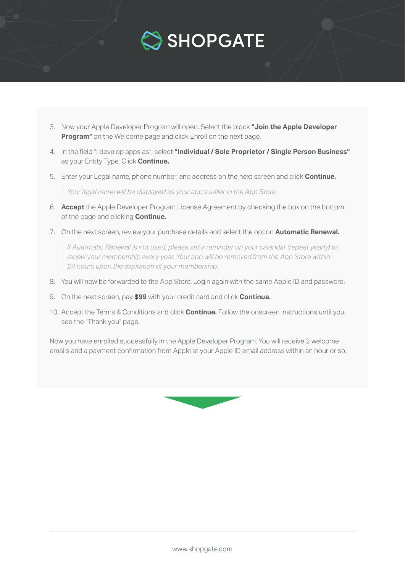

- 3. Now your Apple Developer Program will open. Select the block **"Join the Apple Developer Program"** on the Welcome page and click Enroll on the next page.
- 4. In the field "I develop apps as", select **"Individual / Sole Proprietor / Single Person Business"** as your Entity Type. Click **Continue.**
- 5. Enter your Legal name, phone number, and address on the next screen and click **Continue.**

*Your legal name will be displayed as your app's seller in the App Store.*

- 6. **Accept** the Apple Developer Program License Agreement by checking the box on the bottom of the page and clicking **Continue.**
- 7. On the next screen, review your purchase details and select the option **Automatic Renewal.**

 *If Automatic Renewal is not used, please set a reminder on your calendar (repeat yearly) to renew your membership every year. Your app will be removed from the App Store within 24 hours upon the expiration of your membership.*

- 8. You will now be forwarded to the App Store. Login again with the same Apple ID and password.
- 9. On the next screen, pay **\$99** with your credit card and click **Continue.**
- 10. Accept the Terms & Conditions and click **Continue.** Follow the onscreen instructions until you see the "Thank you" page.

Now you have enrolled successfully in the Apple Developer Program. You will receive 2 welcome emails and a payment confirmation from Apple at your Apple ID email address within an hour or so.

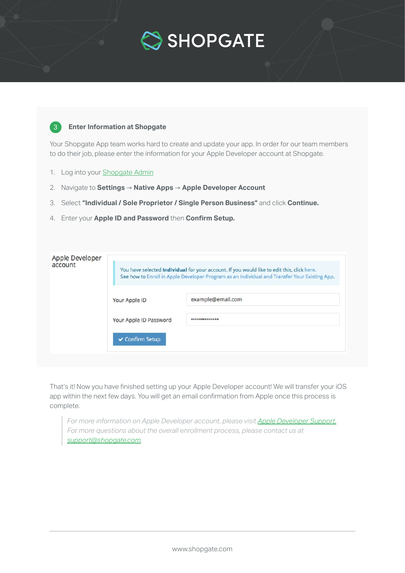

### **Enter Information at Shopgate**

Your Shopgate App team works hard to create and update your app. In order for our team members to do their job, please enter the information for your Apple Developer account at Shopgate.

1. Log into your [Shopgate Admin](https://admin.shopgate.com/)

3

- 2. Navigate to **Settings → Native Apps → Apple Developer Account**
- 3. Select **"Individual / Sole Proprietor / Single Person Business"** and click **Continue.**
- 4. Enter your **Apple ID and Password** then **Confirm Setup.**

| Apple Developer<br>account | You have selected Individual for your account. If you would like to edit this, click here.<br>See how to Enroll in Apple Developer Program as an Individual and Transfer Your Existing App. |                   |
|----------------------------|---------------------------------------------------------------------------------------------------------------------------------------------------------------------------------------------|-------------------|
|                            | Your Apple ID                                                                                                                                                                               | example@email.com |
|                            | Your Apple ID Password                                                                                                                                                                      |                   |
|                            | ✔ Confirm Setup                                                                                                                                                                             |                   |

That's it! Now you have finished setting up your Apple Developer account! We will transfer your iOS app within the next few days. You will get an email confirmation from Apple once this process is complete.

*For more information on Apple Developer account, please visit [Apple Developer Support.](https://developer.apple.com/support/membership/) For more questions about the overall enrollment process, please contact us at [support@shopgate.com](mailto:support%40shopgate.com?subject=).*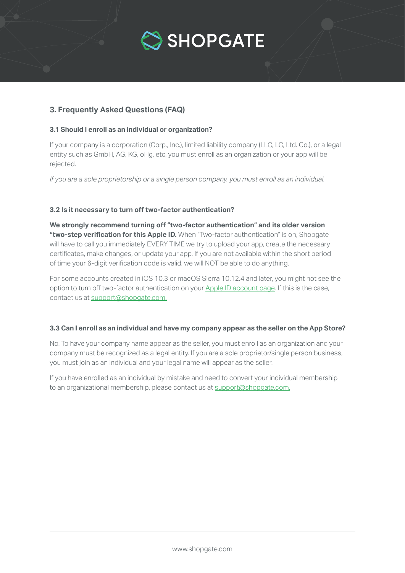

## <span id="page-5-0"></span>**3. Frequently Asked Questions (FAQ)**

#### **3.1 Should I enroll as an individual or organization?**

If your company is a corporation (Corp., Inc.), limited liability company (LLC, LC, Ltd. Co.), or a legal entity such as GmbH, AG, KG, oHg, etc, you must enroll as an organization or your app will be rejected.

*If you are a sole proprietorship or a single person company, you must enroll as an individual.*

#### **3.2 Is it necessary to turn off two-factor authentication?**

**We strongly recommend turning off "two-factor authentication" and its older version "two-step verification for this Apple ID.** When "Two-factor authentication" is on, Shopgate will have to call you immediately EVERY TIME we try to upload your app, create the necessary certificates, make changes, or update your app. If you are not available within the short period of time your 6-digit verification code is valid, we will NOT be able to do anything.

For some accounts created in iOS 10.3 or macOS Sierra 10.12.4 and later, you might not see the option to turn off two-factor authentication on your [Apple ID account page.](http://Apple ID account page) If this is the case, contact us at [support@shopgate.com.](mailto:support%40shopgate.com.%20?subject=)

#### **3.3 Can I enroll as an individual and have my company appear as the seller on the App Store?**

No. To have your company name appear as the seller, you must enroll as an organization and your company must be recognized as a legal entity. If you are a sole proprietor/single person business, you must join as an individual and your legal name will appear as the seller.

If you have enrolled as an individual by mistake and need to convert your individual membership to an organizational membership, please contact us at [support@shopgate.com.](mailto:support%40shopgate.com?subject=)